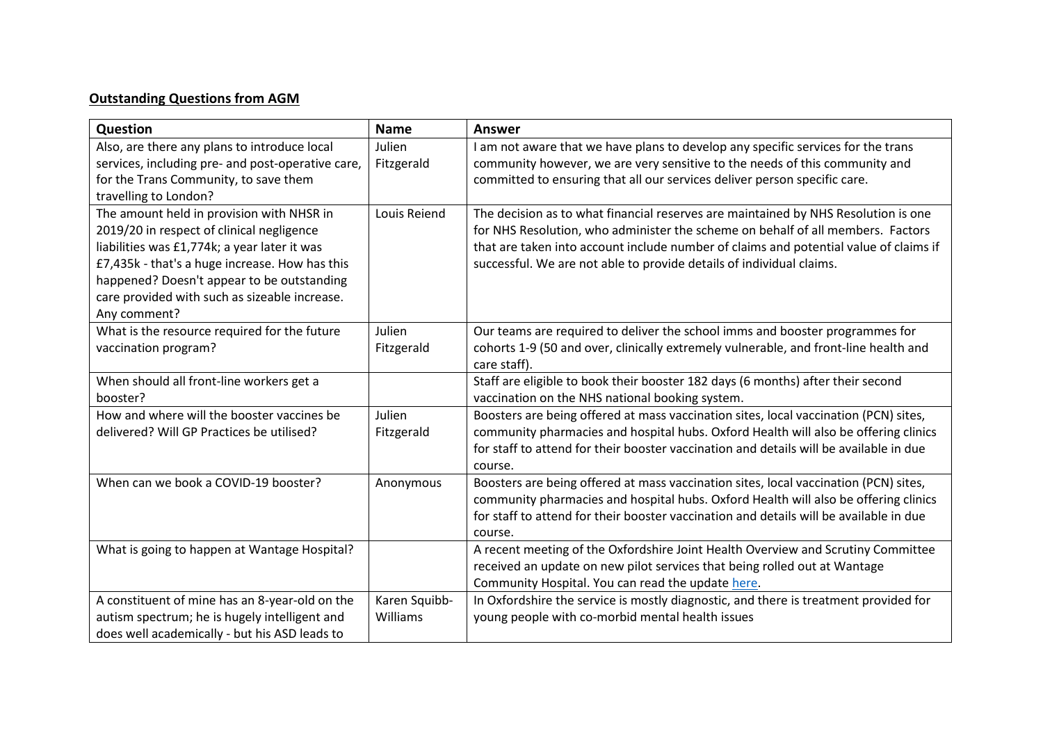## **Outstanding Questions from AGM**

| Question                                                                                        | <b>Name</b>               | <b>Answer</b>                                                                          |
|-------------------------------------------------------------------------------------------------|---------------------------|----------------------------------------------------------------------------------------|
| Also, are there any plans to introduce local                                                    | Julien                    | I am not aware that we have plans to develop any specific services for the trans       |
| services, including pre- and post-operative care,                                               | Fitzgerald                | community however, we are very sensitive to the needs of this community and            |
| for the Trans Community, to save them                                                           |                           | committed to ensuring that all our services deliver person specific care.              |
| travelling to London?                                                                           |                           |                                                                                        |
| The amount held in provision with NHSR in                                                       | Louis Reiend              | The decision as to what financial reserves are maintained by NHS Resolution is one     |
| 2019/20 in respect of clinical negligence                                                       |                           | for NHS Resolution, who administer the scheme on behalf of all members. Factors        |
| liabilities was £1,774k; a year later it was                                                    |                           | that are taken into account include number of claims and potential value of claims if  |
| £7,435k - that's a huge increase. How has this                                                  |                           | successful. We are not able to provide details of individual claims.                   |
| happened? Doesn't appear to be outstanding                                                      |                           |                                                                                        |
| care provided with such as sizeable increase.                                                   |                           |                                                                                        |
| Any comment?                                                                                    |                           |                                                                                        |
| What is the resource required for the future                                                    | Julien                    | Our teams are required to deliver the school imms and booster programmes for           |
| vaccination program?                                                                            | Fitzgerald                | cohorts 1-9 (50 and over, clinically extremely vulnerable, and front-line health and   |
|                                                                                                 |                           | care staff).                                                                           |
| When should all front-line workers get a                                                        |                           | Staff are eligible to book their booster 182 days (6 months) after their second        |
| booster?                                                                                        |                           | vaccination on the NHS national booking system.                                        |
| How and where will the booster vaccines be                                                      | Julien                    | Boosters are being offered at mass vaccination sites, local vaccination (PCN) sites,   |
| delivered? Will GP Practices be utilised?                                                       | Fitzgerald                | community pharmacies and hospital hubs. Oxford Health will also be offering clinics    |
|                                                                                                 |                           | for staff to attend for their booster vaccination and details will be available in due |
|                                                                                                 |                           | course.                                                                                |
| When can we book a COVID-19 booster?                                                            | Anonymous                 | Boosters are being offered at mass vaccination sites, local vaccination (PCN) sites,   |
|                                                                                                 |                           | community pharmacies and hospital hubs. Oxford Health will also be offering clinics    |
|                                                                                                 |                           | for staff to attend for their booster vaccination and details will be available in due |
|                                                                                                 |                           | course.                                                                                |
| What is going to happen at Wantage Hospital?                                                    |                           | A recent meeting of the Oxfordshire Joint Health Overview and Scrutiny Committee       |
|                                                                                                 |                           | received an update on new pilot services that being rolled out at Wantage              |
|                                                                                                 |                           | Community Hospital. You can read the update here.                                      |
| A constituent of mine has an 8-year-old on the<br>autism spectrum; he is hugely intelligent and | Karen Squibb-<br>Williams | In Oxfordshire the service is mostly diagnostic, and there is treatment provided for   |
|                                                                                                 |                           | young people with co-morbid mental health issues                                       |
| does well academically - but his ASD leads to                                                   |                           |                                                                                        |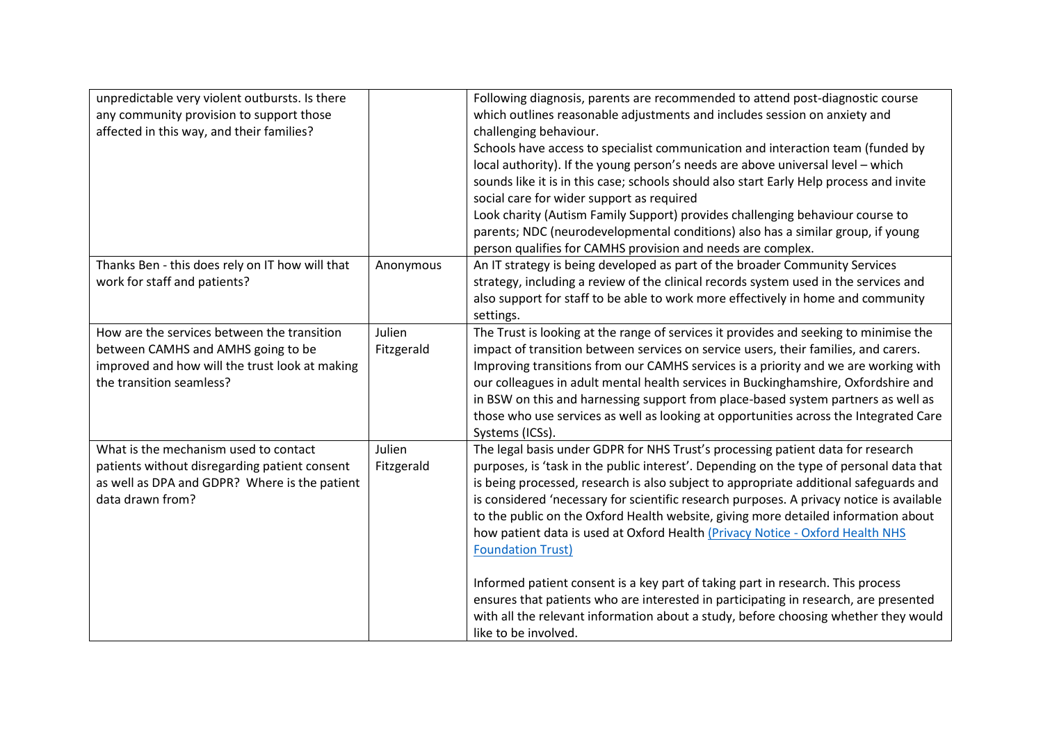| unpredictable very violent outbursts. Is there                                                                                                                  |                      | Following diagnosis, parents are recommended to attend post-diagnostic course                                                                                                                                                                                                                                                                                                                                                                                                                                                                                      |
|-----------------------------------------------------------------------------------------------------------------------------------------------------------------|----------------------|--------------------------------------------------------------------------------------------------------------------------------------------------------------------------------------------------------------------------------------------------------------------------------------------------------------------------------------------------------------------------------------------------------------------------------------------------------------------------------------------------------------------------------------------------------------------|
| any community provision to support those<br>affected in this way, and their families?                                                                           |                      | which outlines reasonable adjustments and includes session on anxiety and<br>challenging behaviour.                                                                                                                                                                                                                                                                                                                                                                                                                                                                |
|                                                                                                                                                                 |                      | Schools have access to specialist communication and interaction team (funded by<br>local authority). If the young person's needs are above universal level - which<br>sounds like it is in this case; schools should also start Early Help process and invite<br>social care for wider support as required<br>Look charity (Autism Family Support) provides challenging behaviour course to<br>parents; NDC (neurodevelopmental conditions) also has a similar group, if young<br>person qualifies for CAMHS provision and needs are complex.                      |
| Thanks Ben - this does rely on IT how will that<br>work for staff and patients?                                                                                 | Anonymous            | An IT strategy is being developed as part of the broader Community Services<br>strategy, including a review of the clinical records system used in the services and<br>also support for staff to be able to work more effectively in home and community<br>settings.                                                                                                                                                                                                                                                                                               |
| How are the services between the transition<br>between CAMHS and AMHS going to be<br>improved and how will the trust look at making<br>the transition seamless? | Julien<br>Fitzgerald | The Trust is looking at the range of services it provides and seeking to minimise the<br>impact of transition between services on service users, their families, and carers.<br>Improving transitions from our CAMHS services is a priority and we are working with<br>our colleagues in adult mental health services in Buckinghamshire, Oxfordshire and<br>in BSW on this and harnessing support from place-based system partners as well as<br>those who use services as well as looking at opportunities across the Integrated Care<br>Systems (ICSs).         |
| What is the mechanism used to contact<br>patients without disregarding patient consent<br>as well as DPA and GDPR? Where is the patient<br>data drawn from?     | Julien<br>Fitzgerald | The legal basis under GDPR for NHS Trust's processing patient data for research<br>purposes, is 'task in the public interest'. Depending on the type of personal data that<br>is being processed, research is also subject to appropriate additional safeguards and<br>is considered 'necessary for scientific research purposes. A privacy notice is available<br>to the public on the Oxford Health website, giving more detailed information about<br>how patient data is used at Oxford Health (Privacy Notice - Oxford Health NHS<br><b>Foundation Trust)</b> |
|                                                                                                                                                                 |                      | Informed patient consent is a key part of taking part in research. This process<br>ensures that patients who are interested in participating in research, are presented<br>with all the relevant information about a study, before choosing whether they would<br>like to be involved.                                                                                                                                                                                                                                                                             |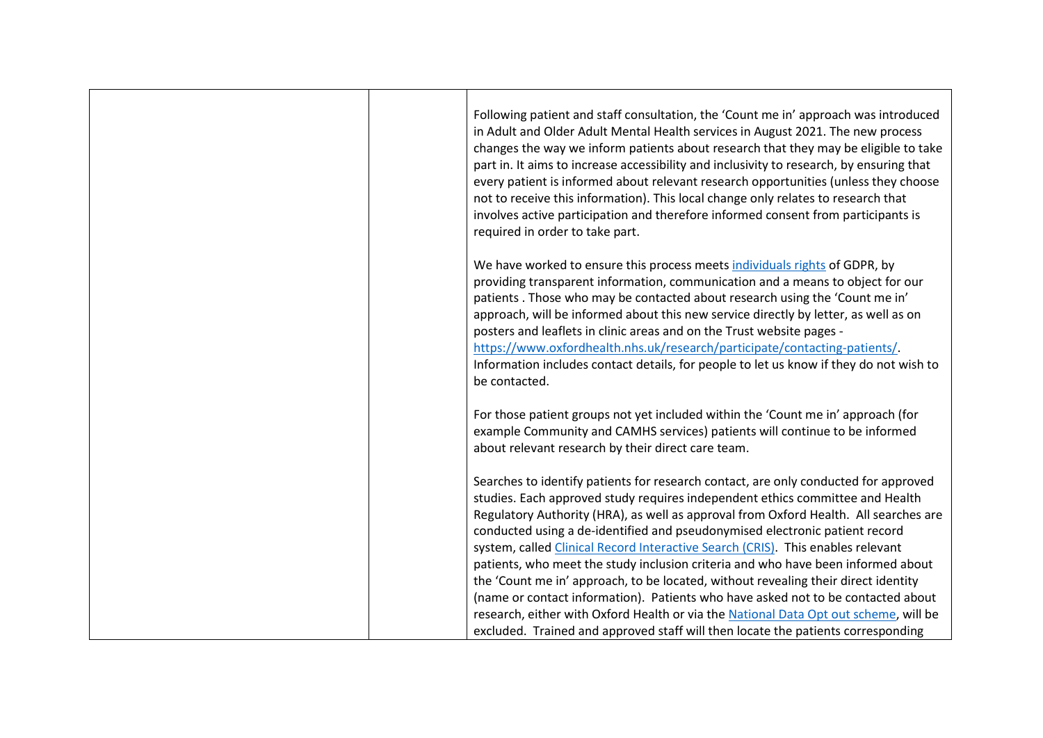| Following patient and staff consultation, the 'Count me in' approach was introduced<br>in Adult and Older Adult Mental Health services in August 2021. The new process<br>changes the way we inform patients about research that they may be eligible to take<br>part in. It aims to increase accessibility and inclusivity to research, by ensuring that<br>every patient is informed about relevant research opportunities (unless they choose<br>not to receive this information). This local change only relates to research that<br>involves active participation and therefore informed consent from participants is<br>required in order to take part.                                                                                                                                                                                                            |
|--------------------------------------------------------------------------------------------------------------------------------------------------------------------------------------------------------------------------------------------------------------------------------------------------------------------------------------------------------------------------------------------------------------------------------------------------------------------------------------------------------------------------------------------------------------------------------------------------------------------------------------------------------------------------------------------------------------------------------------------------------------------------------------------------------------------------------------------------------------------------|
| We have worked to ensure this process meets individuals rights of GDPR, by<br>providing transparent information, communication and a means to object for our<br>patients . Those who may be contacted about research using the 'Count me in'<br>approach, will be informed about this new service directly by letter, as well as on<br>posters and leaflets in clinic areas and on the Trust website pages -<br>https://www.oxfordhealth.nhs.uk/research/participate/contacting-patients/.<br>Information includes contact details, for people to let us know if they do not wish to<br>be contacted.                                                                                                                                                                                                                                                                    |
| For those patient groups not yet included within the 'Count me in' approach (for<br>example Community and CAMHS services) patients will continue to be informed<br>about relevant research by their direct care team.                                                                                                                                                                                                                                                                                                                                                                                                                                                                                                                                                                                                                                                    |
| Searches to identify patients for research contact, are only conducted for approved<br>studies. Each approved study requires independent ethics committee and Health<br>Regulatory Authority (HRA), as well as approval from Oxford Health. All searches are<br>conducted using a de-identified and pseudonymised electronic patient record<br>system, called Clinical Record Interactive Search (CRIS). This enables relevant<br>patients, who meet the study inclusion criteria and who have been informed about<br>the 'Count me in' approach, to be located, without revealing their direct identity<br>(name or contact information). Patients who have asked not to be contacted about<br>research, either with Oxford Health or via the National Data Opt out scheme, will be<br>excluded. Trained and approved staff will then locate the patients corresponding |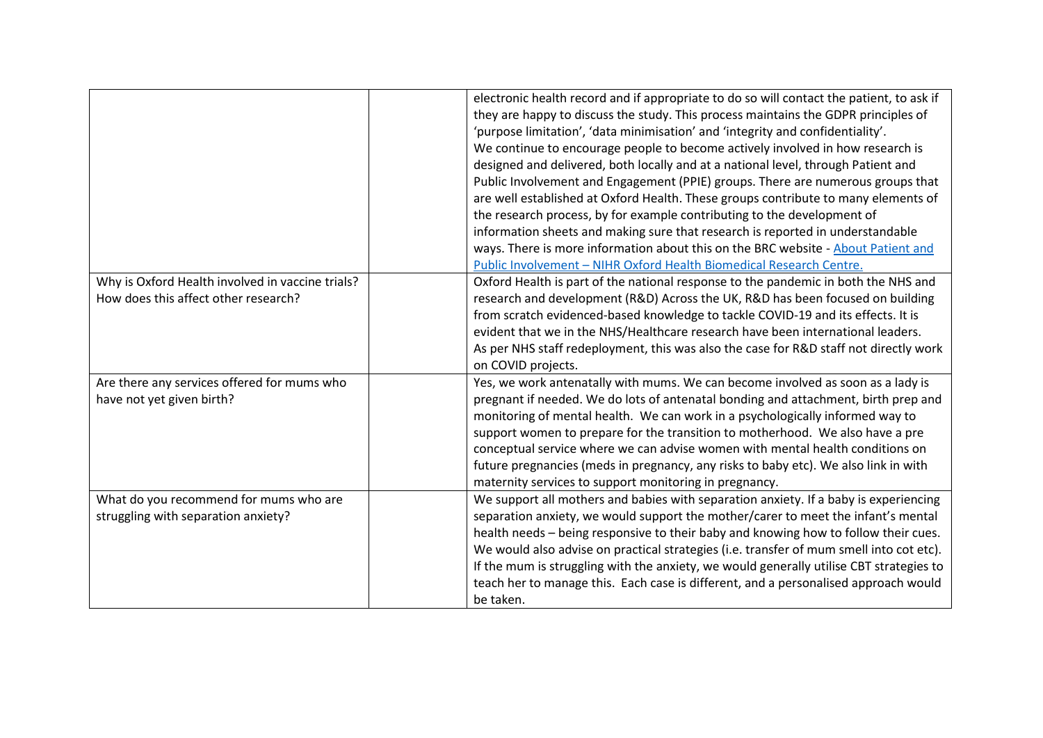|                                                                                          | electronic health record and if appropriate to do so will contact the patient, to ask if<br>they are happy to discuss the study. This process maintains the GDPR principles of<br>'purpose limitation', 'data minimisation' and 'integrity and confidentiality'.<br>We continue to encourage people to become actively involved in how research is<br>designed and delivered, both locally and at a national level, through Patient and<br>Public Involvement and Engagement (PPIE) groups. There are numerous groups that<br>are well established at Oxford Health. These groups contribute to many elements of |
|------------------------------------------------------------------------------------------|------------------------------------------------------------------------------------------------------------------------------------------------------------------------------------------------------------------------------------------------------------------------------------------------------------------------------------------------------------------------------------------------------------------------------------------------------------------------------------------------------------------------------------------------------------------------------------------------------------------|
|                                                                                          | the research process, by for example contributing to the development of<br>information sheets and making sure that research is reported in understandable                                                                                                                                                                                                                                                                                                                                                                                                                                                        |
|                                                                                          | ways. There is more information about this on the BRC website - About Patient and<br>Public Involvement - NIHR Oxford Health Biomedical Research Centre.                                                                                                                                                                                                                                                                                                                                                                                                                                                         |
| Why is Oxford Health involved in vaccine trials?<br>How does this affect other research? | Oxford Health is part of the national response to the pandemic in both the NHS and<br>research and development (R&D) Across the UK, R&D has been focused on building<br>from scratch evidenced-based knowledge to tackle COVID-19 and its effects. It is<br>evident that we in the NHS/Healthcare research have been international leaders.<br>As per NHS staff redeployment, this was also the case for R&D staff not directly work<br>on COVID projects.                                                                                                                                                       |
| Are there any services offered for mums who<br>have not yet given birth?                 | Yes, we work antenatally with mums. We can become involved as soon as a lady is<br>pregnant if needed. We do lots of antenatal bonding and attachment, birth prep and<br>monitoring of mental health. We can work in a psychologically informed way to<br>support women to prepare for the transition to motherhood. We also have a pre<br>conceptual service where we can advise women with mental health conditions on<br>future pregnancies (meds in pregnancy, any risks to baby etc). We also link in with<br>maternity services to support monitoring in pregnancy.                                        |
| What do you recommend for mums who are<br>struggling with separation anxiety?            | We support all mothers and babies with separation anxiety. If a baby is experiencing<br>separation anxiety, we would support the mother/carer to meet the infant's mental<br>health needs - being responsive to their baby and knowing how to follow their cues.<br>We would also advise on practical strategies (i.e. transfer of mum smell into cot etc).<br>If the mum is struggling with the anxiety, we would generally utilise CBT strategies to<br>teach her to manage this. Each case is different, and a personalised approach would<br>be taken.                                                       |